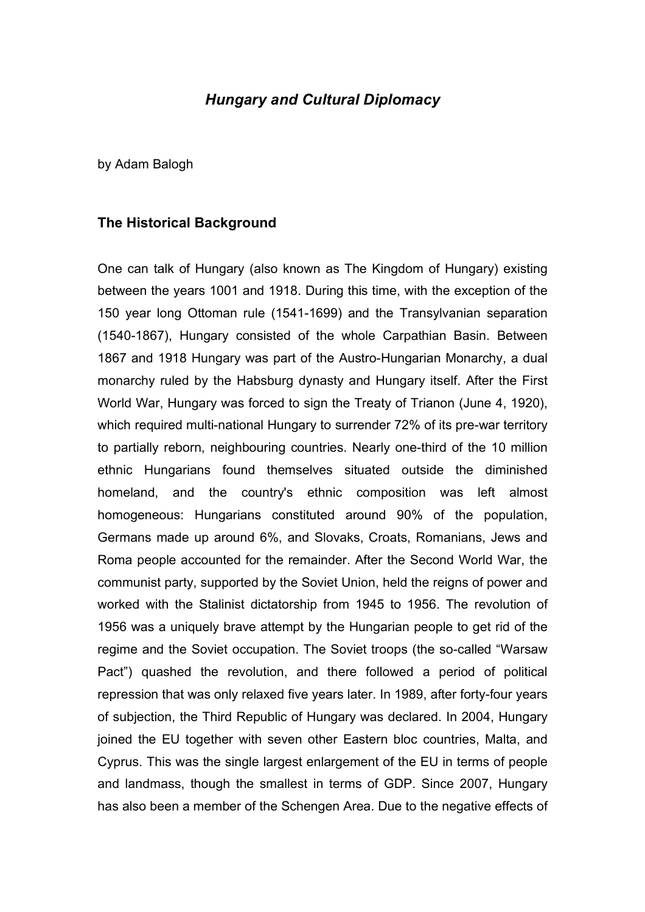# *Hungary and Cultural Diplomacy*

by Adam Balogh

#### **The Historical Background**

One can talk of Hungary (also known as The Kingdom of Hungary) existing between the years 1001 and 1918. During this time, with the exception of the 150 year long Ottoman rule (1541-1699) and the Transylvanian separation (1540-1867), Hungary consisted of the whole Carpathian Basin. Between 1867 and 1918 Hungary was part of the Austro-Hungarian Monarchy, a dual monarchy ruled by the Habsburg dynasty and Hungary itself. After the First World War, Hungary was forced to sign the Treaty of Trianon (June 4, 1920), which required multi-national Hungary to surrender 72% of its pre-war territory to partially reborn, neighbouring countries. Nearly one-third of the 10 million ethnic Hungarians found themselves situated outside the diminished homeland, and the country's ethnic composition was left almost homogeneous: Hungarians constituted around 90% of the population, Germans made up around 6%, and Slovaks, Croats, Romanians, Jews and Roma people accounted for the remainder. After the Second World War, the communist party, supported by the Soviet Union, held the reigns of power and worked with the Stalinist dictatorship from 1945 to 1956. The revolution of 1956 was a uniquely brave attempt by the Hungarian people to get rid of the regime and the Soviet occupation. The Soviet troops (the so-called "Warsaw Pact") quashed the revolution, and there followed a period of political repression that was only relaxed five years later. In 1989, after forty-four years of subjection, the Third Republic of Hungary was declared. In 2004, Hungary joined the EU together with seven other Eastern bloc countries, Malta, and Cyprus. This was the single largest enlargement of the EU in terms of people and landmass, though the smallest in terms of GDP. Since 2007, Hungary has also been a member of the Schengen Area. Due to the negative effects of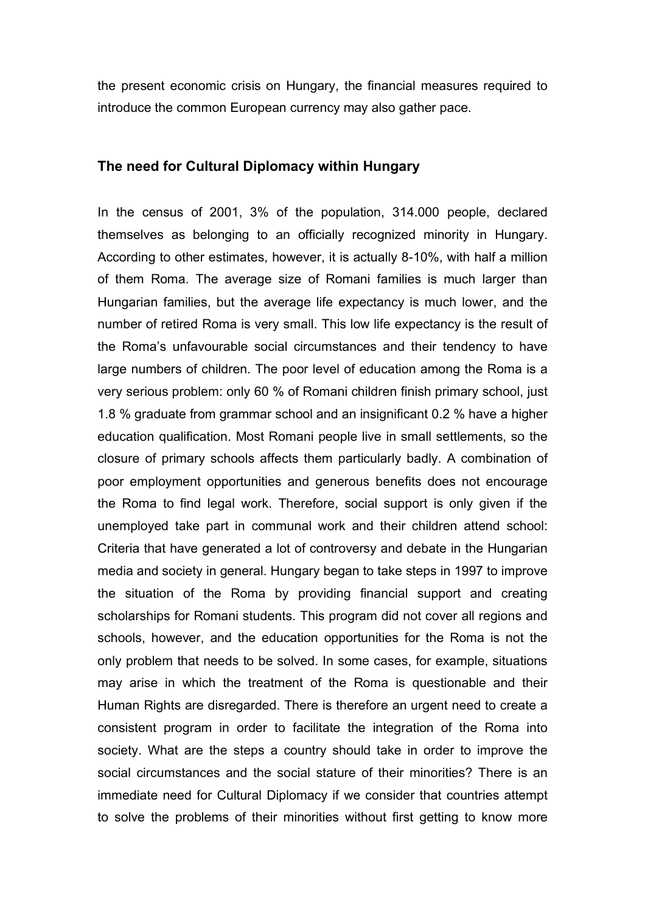the present economic crisis on Hungary, the financial measures required to introduce the common European currency may also gather pace.

### **The need for Cultural Diplomacy within Hungary**

In the census of 2001, 3% of the population, 314.000 people, declared themselves as belonging to an officially recognized minority in Hungary. According to other estimates, however, it is actually 8-10%, with half a million of them Roma. The average size of Romani families is much larger than Hungarian families, but the average life expectancy is much lower, and the number of retired Roma is very small. This low life expectancy is the result of the Roma's unfavourable social circumstances and their tendency to have large numbers of children. The poor level of education among the Roma is a very serious problem: only 60 % of Romani children finish primary school, just 1.8 % graduate from grammar school and an insignificant 0.2 % have a higher education qualification. Most Romani people live in small settlements, so the closure of primary schools affects them particularly badly. A combination of poor employment opportunities and generous benefits does not encourage the Roma to find legal work. Therefore, social support is only given if the unemployed take part in communal work and their children attend school: Criteria that have generated a lot of controversy and debate in the Hungarian media and society in general. Hungary began to take steps in 1997 to improve the situation of the Roma by providing financial support and creating scholarships for Romani students. This program did not cover all regions and schools, however, and the education opportunities for the Roma is not the only problem that needs to be solved. In some cases, for example, situations may arise in which the treatment of the Roma is questionable and their Human Rights are disregarded. There is therefore an urgent need to create a consistent program in order to facilitate the integration of the Roma into society. What are the steps a country should take in order to improve the social circumstances and the social stature of their minorities? There is an immediate need for Cultural Diplomacy if we consider that countries attempt to solve the problems of their minorities without first getting to know more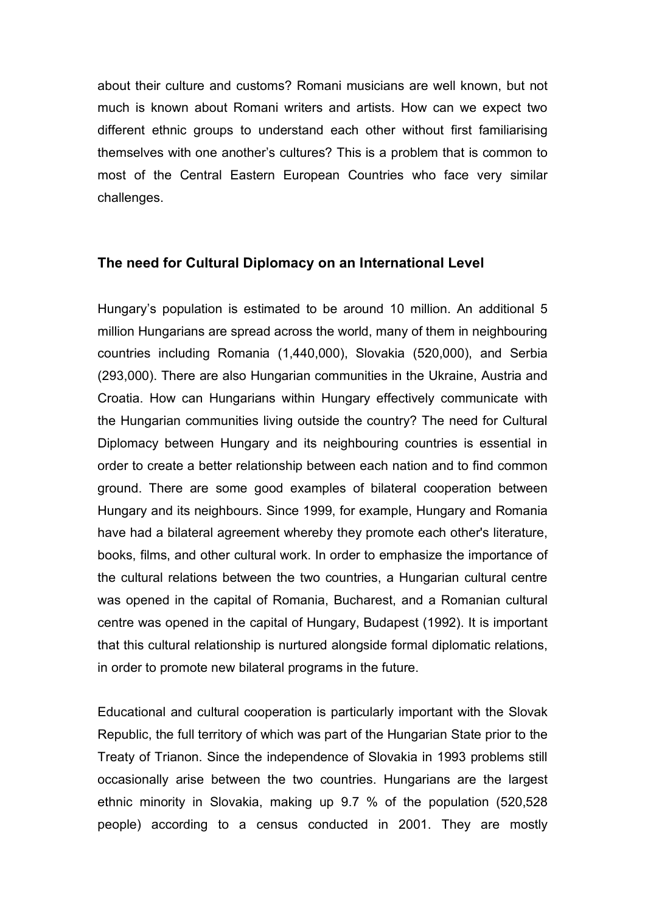about their culture and customs? Romani musicians are well known, but not much is known about Romani writers and artists. How can we expect two different ethnic groups to understand each other without first familiarising themselves with one another's cultures? This is a problem that is common to most of the Central Eastern European Countries who face very similar challenges.

## **The need for Cultural Diplomacy on an International Level**

Hungary's population is estimated to be around 10 million. An additional 5 million Hungarians are spread across the world, many of them in neighbouring countries including Romania (1,440,000), Slovakia (520,000), and Serbia (293,000). There are also Hungarian communities in the Ukraine, Austria and Croatia. How can Hungarians within Hungary effectively communicate with the Hungarian communities living outside the country? The need for Cultural Diplomacy between Hungary and its neighbouring countries is essential in order to create a better relationship between each nation and to find common ground. There are some good examples of bilateral cooperation between Hungary and its neighbours. Since 1999, for example, Hungary and Romania have had a bilateral agreement whereby they promote each other's literature, books, films, and other cultural work. In order to emphasize the importance of the cultural relations between the two countries, a Hungarian cultural centre was opened in the capital of Romania, Bucharest, and a Romanian cultural centre was opened in the capital of Hungary, Budapest (1992). It is important that this cultural relationship is nurtured alongside formal diplomatic relations, in order to promote new bilateral programs in the future.

Educational and cultural cooperation is particularly important with the Slovak Republic, the full territory of which was part of the Hungarian State prior to the Treaty of Trianon. Since the independence of Slovakia in 1993 problems still occasionally arise between the two countries. Hungarians are the largest ethnic minority in Slovakia, making up 9.7 % of the population (520,528 people) according to a census conducted in 2001. They are mostly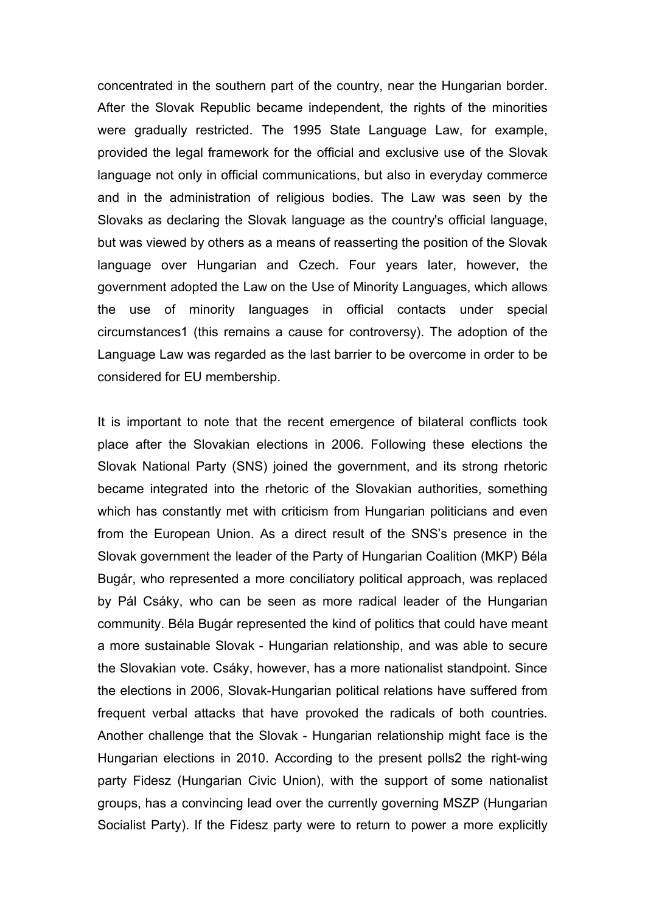concentrated in the southern part of the country, near the Hungarian border. After the Slovak Republic became independent, the rights of the minorities were gradually restricted. The 1995 State Language Law, for example, provided the legal framework for the official and exclusive use of the Slovak language not only in official communications, but also in everyday commerce and in the administration of religious bodies. The Law was seen by the Slovaks as declaring the Slovak language as the country's official language, but was viewed by others as a means of reasserting the position of the Slovak language over Hungarian and Czech. Four years later, however, the government adopted the Law on the Use of Minority Languages, which allows the use of minority languages in official contacts under special circumstances1 (this remains a cause for controversy). The adoption of the Language Law was regarded as the last barrier to be overcome in order to be considered for EU membership.

It is important to note that the recent emergence of bilateral conflicts took place after the Slovakian elections in 2006. Following these elections the Slovak National Party (SNS) joined the government, and its strong rhetoric became integrated into the rhetoric of the Slovakian authorities, something which has constantly met with criticism from Hungarian politicians and even from the European Union. As a direct result of the SNS's presence in the Slovak government the leader of the Party of Hungarian Coalition (MKP) Béla Bugár, who represented a more conciliatory political approach, was replaced by Pál Csáky, who can be seen as more radical leader of the Hungarian community. Béla Bugár represented the kind of politics that could have meant a more sustainable Slovak - Hungarian relationship, and was able to secure the Slovakian vote. Csáky, however, has a more nationalist standpoint. Since the elections in 2006, Slovak-Hungarian political relations have suffered from frequent verbal attacks that have provoked the radicals of both countries. Another challenge that the Slovak - Hungarian relationship might face is the Hungarian elections in 2010. According to the present polls2 the right-wing party Fidesz (Hungarian Civic Union), with the support of some nationalist groups, has a convincing lead over the currently governing MSZP (Hungarian Socialist Party). If the Fidesz party were to return to power a more explicitly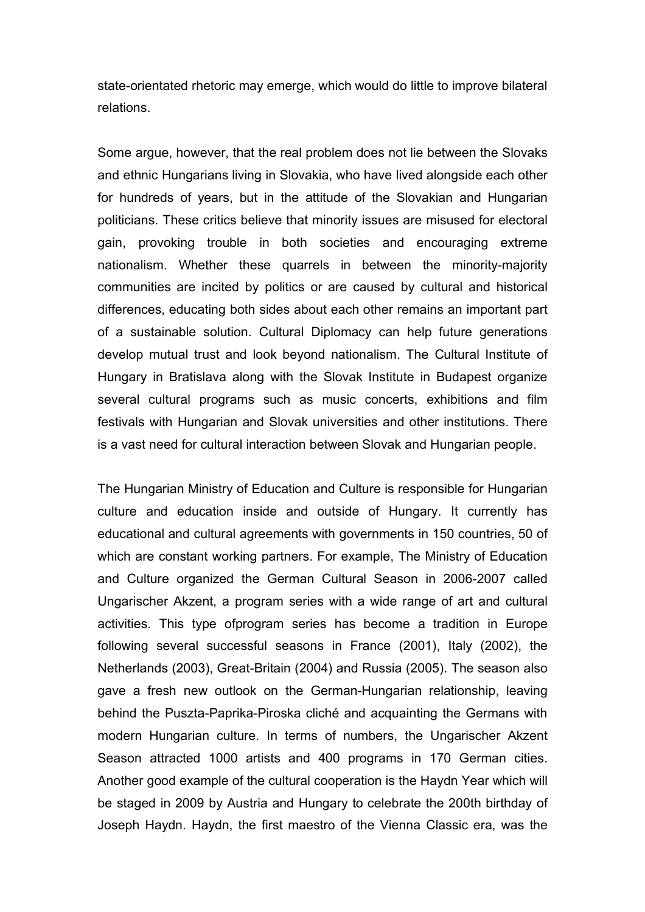state-orientated rhetoric may emerge, which would do little to improve bilateral relations.

Some argue, however, that the real problem does not lie between the Slovaks and ethnic Hungarians living in Slovakia, who have lived alongside each other for hundreds of years, but in the attitude of the Slovakian and Hungarian politicians. These critics believe that minority issues are misused for electoral gain, provoking trouble in both societies and encouraging extreme nationalism. Whether these quarrels in between the minority-majority communities are incited by politics or are caused by cultural and historical differences, educating both sides about each other remains an important part of a sustainable solution. Cultural Diplomacy can help future generations develop mutual trust and look beyond nationalism. The Cultural Institute of Hungary in Bratislava along with the Slovak Institute in Budapest organize several cultural programs such as music concerts, exhibitions and film festivals with Hungarian and Slovak universities and other institutions. There is a vast need for cultural interaction between Slovak and Hungarian people.

The Hungarian Ministry of Education and Culture is responsible for Hungarian culture and education inside and outside of Hungary. It currently has educational and cultural agreements with governments in 150 countries, 50 of which are constant working partners. For example, The Ministry of Education and Culture organized the German Cultural Season in 2006-2007 called Ungarischer Akzent, a program series with a wide range of art and cultural activities. This type ofprogram series has become a tradition in Europe following several successful seasons in France (2001), Italy (2002), the Netherlands (2003), Great-Britain (2004) and Russia (2005). The season also gave a fresh new outlook on the German-Hungarian relationship, leaving behind the Puszta-Paprika-Piroska cliché and acquainting the Germans with modern Hungarian culture. In terms of numbers, the Ungarischer Akzent Season attracted 1000 artists and 400 programs in 170 German cities. Another good example of the cultural cooperation is the Haydn Year which will be staged in 2009 by Austria and Hungary to celebrate the 200th birthday of Joseph Haydn. Haydn, the first maestro of the Vienna Classic era, was the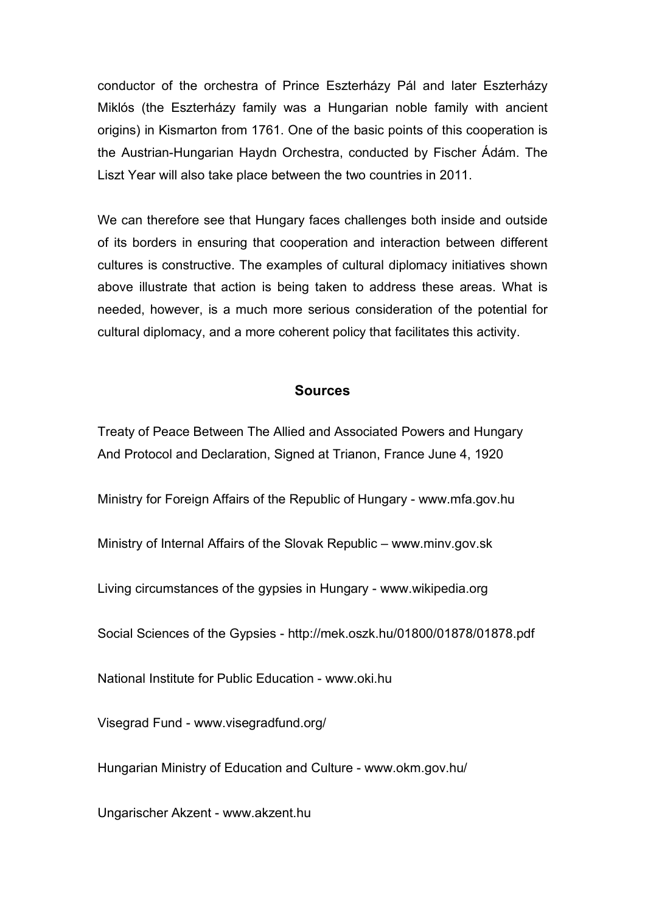conductor of the orchestra of Prince Eszterházy Pál and later Eszterházy Miklós (the Eszterházy family was a Hungarian noble family with ancient origins) in Kismarton from 1761. One of the basic points of this cooperation is the Austrian-Hungarian Haydn Orchestra, conducted by Fischer Ádám. The Liszt Year will also take place between the two countries in 2011.

We can therefore see that Hungary faces challenges both inside and outside of its borders in ensuring that cooperation and interaction between different cultures is constructive. The examples of cultural diplomacy initiatives shown above illustrate that action is being taken to address these areas. What is needed, however, is a much more serious consideration of the potential for cultural diplomacy, and a more coherent policy that facilitates this activity.

#### **Sources**

Treaty of Peace Between The Allied and Associated Powers and Hungary And Protocol and Declaration, Signed at Trianon, France June 4, 1920

Ministry for Foreign Affairs of the Republic of Hungary - www.mfa.gov.hu

Ministry of Internal Affairs of the Slovak Republic – www.minv.gov.sk

Living circumstances of the gypsies in Hungary - www.wikipedia.org

Social Sciences of the Gypsies - http://mek.oszk.hu/01800/01878/01878.pdf

National Institute for Public Education - www.oki.hu

Visegrad Fund - www.visegradfund.org/

Hungarian Ministry of Education and Culture - www.okm.gov.hu/

Ungarischer Akzent - www.akzent.hu